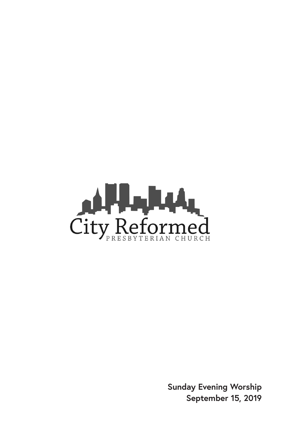

**Sunday Evening Worship September 15, 2019**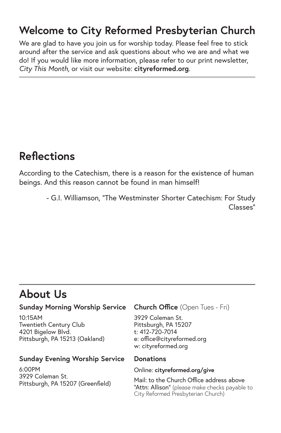# **Welcome to City Reformed Presbyterian Church**

We are glad to have you join us for worship today. Please feel free to stick around after the service and ask questions about who we are and what we do! If you would like more information, please refer to our print newsletter, *City This Month,* or visit our website: **cityreformed.org**.

# **Reflections**

According to the Catechism, there is a reason for the existence of human beings. And this reason cannot be found in man himself!

> - G.I. Williamson, "The Westminster Shorter Catechism: For Study Classes"

# **About Us**

#### **Sunday Morning Worship Service**

10:15AM Twentieth Century Club 4201 Bigelow Blvd. Pittsburgh, PA 15213 (Oakland)

#### **Sunday Evening Worship Service**

6:00PM 3929 Coleman St. Pittsburgh, PA 15207 (Greenfield)

#### **Church Office** (Open Tues - Fri)

3929 Coleman St. Pittsburgh, PA 15207 t: 412-720-7014 e: office@cityreformed.org w: cityreformed.org

#### **Donations**

Online: **cityreformed.org/give**

Mail: to the Church Office address above "Attn: Allison" (please make checks payable to City Reformed Presbyterian Church)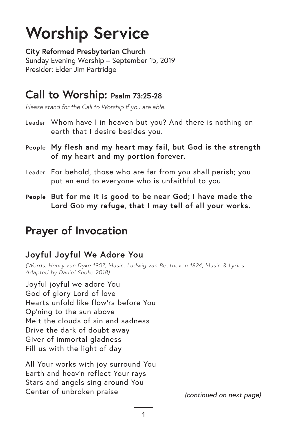# **Worship Service**

**City Reformed Presbyterian Church** Sunday Evening Worship – September 15, 2019 Presider: Elder Jim Partridge

## **Call to Worship: Psalm 73:25-28**

*Please stand for the Call to Worship if you are able.*

- Leader Whom have I in heaven but you? And there is nothing on earth that I desire besides you.
- **People My flesh and my heart may fail, but God is the strength of my heart and my portion forever.**
- Leader For behold, those who are far from you shall perish; you put an end to everyone who is unfaithful to you.
- **People But for me it is good to be near God; I have made the**  Lord Gob my refuge, that I may tell of all your works.

# **Prayer of Invocation**

#### **Joyful Joyful We Adore You**

*(Words: Henry van Dyke 1907; Music: Ludwig van Beethoven 1824; Music & Lyrics Adapted by Daniel Snoke 2018)*

Joyful joyful we adore You God of glory Lord of love Hearts unfold like flow'rs before You Op'ning to the sun above Melt the clouds of sin and sadness Drive the dark of doubt away Giver of immortal gladness Fill us with the light of day

All Your works with joy surround You Earth and heav'n reflect Your rays Stars and angels sing around You Center of unbroken praise *(continued on next page)*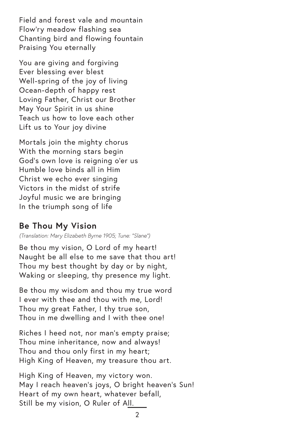Field and forest vale and mountain Flow'ry meadow flashing sea Chanting bird and flowing fountain Praising You eternally

You are giving and forgiving Ever blessing ever blest Well-spring of the joy of living Ocean-depth of happy rest Loving Father, Christ our Brother May Your Spirit in us shine Teach us how to love each other Lift us to Your joy divine

Mortals join the mighty chorus With the morning stars begin God's own love is reigning o'er us Humble love binds all in Him Christ we echo ever singing Victors in the midst of strife Joyful music we are bringing In the triumph song of life

#### **Be Thou My Vision**

*(Translation: Mary Elizabeth Byrne 1905; Tune: "Slane")*

Be thou my vision, O Lord of my heart! Naught be all else to me save that thou art! Thou my best thought by day or by night, Waking or sleeping, thy presence my light.

Be thou my wisdom and thou my true word I ever with thee and thou with me, Lord! Thou my great Father, I thy true son, Thou in me dwelling and I with thee one!

Riches I heed not, nor man's empty praise; Thou mine inheritance, now and always! Thou and thou only first in my heart; High King of Heaven, my treasure thou art.

High King of Heaven, my victory won. May I reach heaven's joys, O bright heaven's Sun! Heart of my own heart, whatever befall, Still be my vision, O Ruler of All.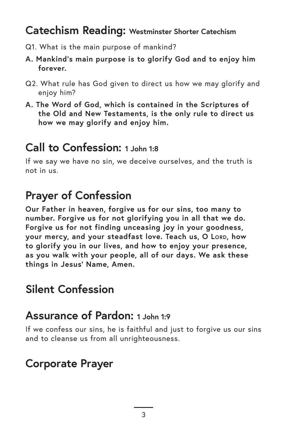## **Catechism Reading: Westminster Shorter Catechism**

- Q1. What is the main purpose of mankind?
- **A. Mankind's main purpose is to glorify God and to enjoy him forever.**
- Q2. What rule has God given to direct us how we may glorify and enjoy him?
- **A. The Word of God, which is contained in the Scriptures of the Old and New Testaments, is the only rule to direct us how we may glorify and enjoy him.**

## **Call to Confession: 1 John 1:8**

If we say we have no sin, we deceive ourselves, and the truth is not in us.

# **Prayer of Confession**

**Our Father in heaven, forgive us for our sins, too many to number. Forgive us for not glorifying you in all that we do. Forgive us for not finding unceasing joy in your goodness, your mercy, and your steadfast love. Teach us, O Lord, how to glorify you in our lives, and how to enjoy your presence, as you walk with your people, all of our days. We ask these things in Jesus' Name, Amen.** 

# **Silent Confession**

## **Assurance of Pardon: 1 John 1:9**

If we confess our sins, he is faithful and just to forgive us our sins and to cleanse us from all unrighteousness.

# **Corporate Prayer**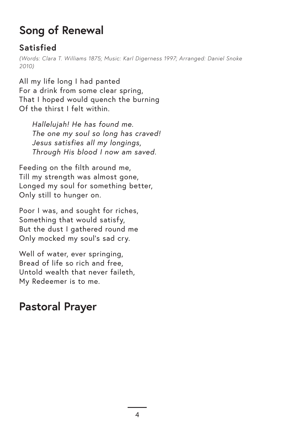# **Song of Renewal**

## **Satisfied**

*(Words: Clara T. Williams 1875; Music: Karl Digerness 1997; Arranged: Daniel Snoke 2010)*

All my life long I had panted For a drink from some clear spring, That I hoped would quench the burning Of the thirst I felt within.

*Hallelujah! He has found me. The one my soul so long has craved! Jesus satisfies all my longings, Through His blood I now am saved.*

Feeding on the filth around me, Till my strength was almost gone, Longed my soul for something better, Only still to hunger on.

Poor I was, and sought for riches, Something that would satisfy, But the dust I gathered round me Only mocked my soul's sad cry.

Well of water, ever springing, Bread of life so rich and free, Untold wealth that never faileth, My Redeemer is to me.

# **Pastoral Prayer**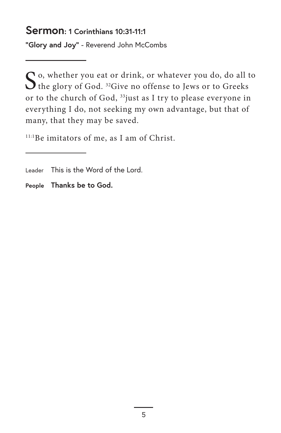#### **Sermon: 1 Corinthians 10:31-11:1**

**"Glory and Joy"** - Reverend John McCombs

 $S$ <sup>o, whether you eat or drink, or whatever you do, do all to the glory of God. 32</sup>Give no offense to Jews or to Greeks or to the church of God, 33just as I try to please everyone in everything I do, not seeking my own advantage, but that of many, that they may be saved.

<sup>11:1</sup>Be imitators of me, as I am of Christ.

**People Thanks be to God.**

Leader This is the Word of the Lord.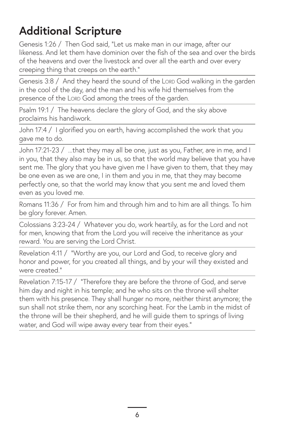# **Additional Scripture**

Genesis 1:26 / Then God said, "Let us make man in our image, after our likeness. And let them have dominion over the fish of the sea and over the birds of the heavens and over the livestock and over all the earth and over every creeping thing that creeps on the earth."

Genesis 3:8 / And they heard the sound of the Lord God walking in the garden in the cool of the day, and the man and his wife hid themselves from the presence of the Lord God among the trees of the garden.

Psalm 19:1 / The heavens declare the glory of God, and the sky above proclaims his handiwork.

John 17:4 / I glorified you on earth, having accomplished the work that you gave me to do.

John 17:21-23 / ...that they may all be one, just as you, Father, are in me, and I in you, that they also may be in us, so that the world may believe that you have sent me. The glory that you have given me I have given to them, that they may be one even as we are one, I in them and you in me, that they may become perfectly one, so that the world may know that you sent me and loved them even as you loved me.

Romans 11:36 / For from him and through him and to him are all things. To him be glory forever. Amen.

Colossians 3:23-24 / Whatever you do, work heartily, as for the Lord and not for men, knowing that from the Lord you will receive the inheritance as your reward. You are serving the Lord Christ.

Revelation 4:11 / "Worthy are you, our Lord and God, to receive glory and honor and power, for you created all things, and by your will they existed and were created."

Revelation 7:15-17 / "Therefore they are before the throne of God, and serve him day and night in his temple; and he who sits on the throne will shelter them with his presence. They shall hunger no more, neither thirst anymore; the sun shall not strike them, nor any scorching heat. For the Lamb in the midst of the throne will be their shepherd, and he will guide them to springs of living water, and God will wipe away every tear from their eyes."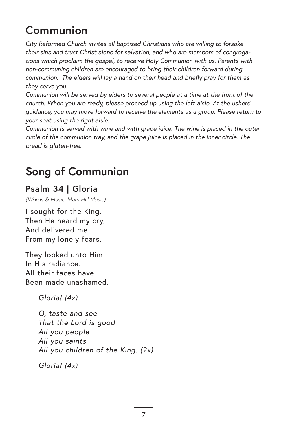# **Communion**

*City Reformed Church invites all baptized Christians who are willing to forsake their sins and trust Christ alone for salvation, and who are members of congregations which proclaim the gospel, to receive Holy Communion with us. Parents with non-communing children are encouraged to bring their children forward during communion. The elders will lay a hand on their head and briefly pray for them as they serve you.*

*Communion will be served by elders to several people at a time at the front of the church. When you are ready, please proceed up using the left aisle. At the ushers' guidance, you may move forward to receive the elements as a group. Please return to your seat using the right aisle.* 

*Communion is served with wine and with grape juice. The wine is placed in the outer circle of the communion tray, and the grape juice is placed in the inner circle. The bread is gluten-free.*

# **Song of Communion**

#### **Psalm 34 | Gloria**

*(Words & Music: Mars Hill Music)*

I sought for the King. Then He heard my cry, And delivered me From my lonely fears.

They looked unto Him In His radiance. All their faces have Been made unashamed.

*Gloria! (4x)*

*O, taste and see That the Lord is good All you people All you saints All you children of the King. (2x)*

*Gloria! (4x)*